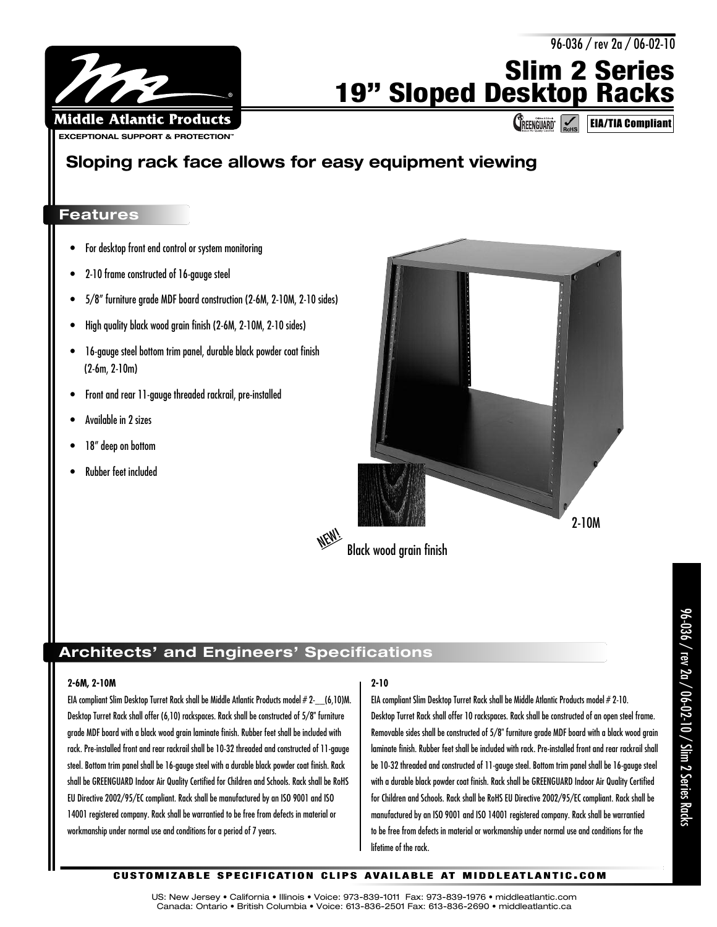

# **Slim 2 Series 19" Sloped Desktop Racks**

**CREENGUARD** EIA/TIA Compliant

96-036 / rev 2a / 06-02-10

## **Sloping rack face allows for easy equipment viewing**

### **Features**

- For desktop front end control or system monitoring
- 2-10 frame constructed of 16-gauge steel
- 5/8" furniture grade MDF board construction (2-6M, 2-10M, 2-10 sides)
- High quality black wood grain finish (2-6M, 2-10M, 2-10 sides)
- 16-gauge steel bottom trim panel, durable black powder coat finish (2-6m, 2-10m)
- Front and rear 11-gauge threaded rackrail, pre-installed
- Available in 2 sizes
- 18" deep on bottom
- Rubber feet included



NEW! Black wood arain finish

### **Architects' and Engineers' Specifications**

#### **2-6M, 2-10M**

EIA compliant Slim Desktop Turret Rack shall be Middle Atlantic Products model # 2-\_\_(6,10)M. Desktop Turret Rack shall offer (6,10) rackspaces. Rack shall be constructed of 5/8" furniture grade MDF board with <sup>a</sup> black wood grain laminate finish. Rubber feet shall be included with rack. Pre-installed front and rear rackrail shall be 10-32 threaded and constructed of 11-gauge steel. Bottom trim panel shall be 16-gauge steel with <sup>a</sup> durable black powder coat finish. Rack shall be GREENGUARD Indoor Air Quality Certified for Children and Schools. Rack shall be RoHS EU Directive 2002/95/EC compliant. Rack shall be manufactured by an ISO 9001 and ISO 14001 registered company. Rack shall be warrantied to be free from defects in material or workmanship under normal use and conditions for <sup>a</sup> period of 7 years.

### **2-10**

EIA compliant Slim Desktop Turret Rack shall be Middle Atlantic Products model # 2-10. Desktop Turret Rack shall offer 10 rackspaces. Rack shall be constructed of an open steel frame. Removable sides shall be constructed of 5/8" furniture grade MDF board with a black wood grain laminate finish. Rubber feet shall be included with rack. Pre-installed front and rear rackrail shall be 10-32 threaded and constructed of 11-gauge steel. Bottom trim panel shall be 16-gauge steel with a durable black powder coat finish. Rack shall be GREENGUARD Indoor Air Quality Certified for Children and Schools. Rack shall be RoHS EU Directive 2002/95/EC compliant. Rack shall be manufactured by an ISO 9001 and ISO 14001 registered company. Rack shall be warrantied to be free from defects in material or workmanship under normal use and conditions for the lifetime of the rack.

### **CUSTOMIZABLE SPECIFICATION CLIPS AVAILABLE AT MIDDLEATLANTIC.COM**

US: New Jersey • California • Illinois • Voice: 973-839-1011 Fax: 973-839-1976 • middleatlantic.com Canada: Ontario • British Columbia • Voice: 613-836-2501 Fax: 613-836-2690 • middleatlantic.ca